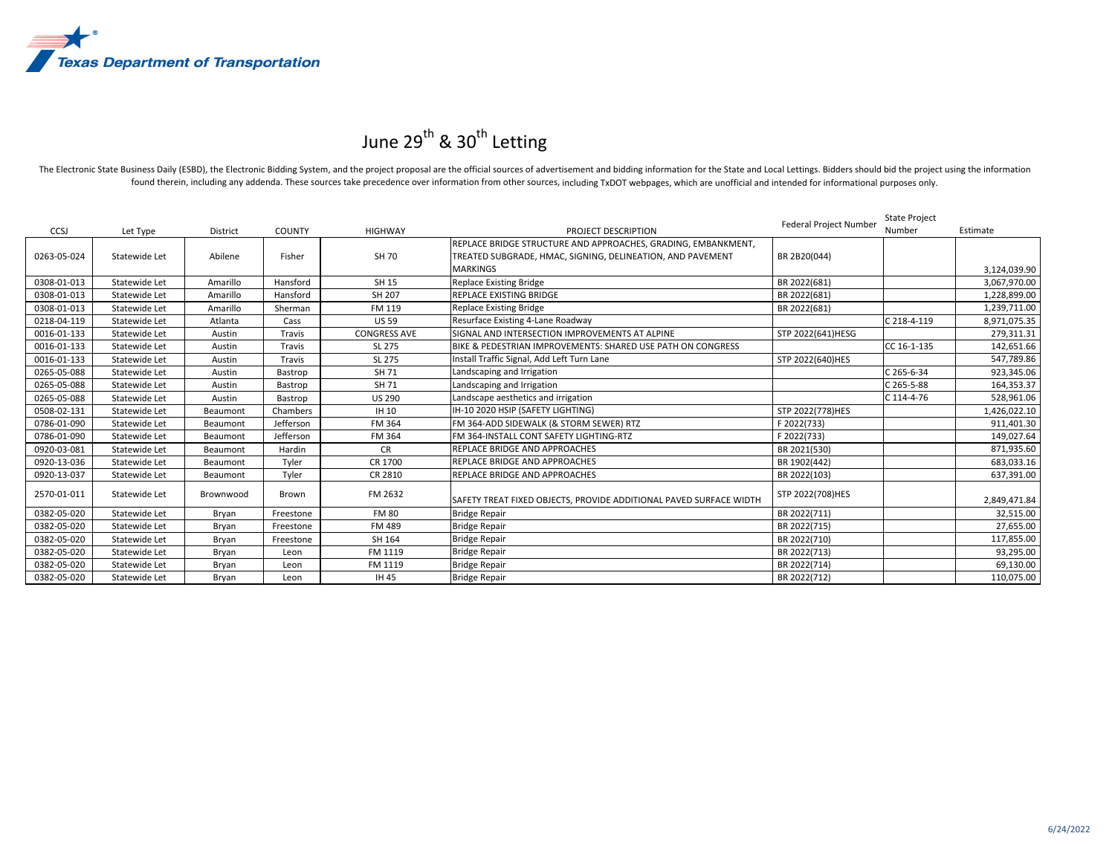

## June 29<sup>th</sup> & 30<sup>th</sup> Letting

The Electronic State Business Daily (ESBD), the Electronic Bidding System, and the project proposal are the official sources of advertisement and bidding information for the State and Local Lettings. Bidders should bid the found therein, including any addenda. These sources take precedence over information from other sources, including TxDOT webpages, which are unofficial and intended for informational purposes only.

|             |               |                 |               |                     |                                                                    | Federal Project Number | State Project |              |
|-------------|---------------|-----------------|---------------|---------------------|--------------------------------------------------------------------|------------------------|---------------|--------------|
| CCSJ        | Let Type      | <b>District</b> | <b>COUNTY</b> | <b>HIGHWAY</b>      | PROJECT DESCRIPTION                                                |                        | Number        | Estimate     |
|             |               |                 |               |                     | REPLACE BRIDGE STRUCTURE AND APPROACHES, GRADING, EMBANKMENT,      |                        |               |              |
| 0263-05-024 | Statewide Let | Abilene         | Fisher        | SH 70               | TREATED SUBGRADE, HMAC, SIGNING, DELINEATION, AND PAVEMENT         | BR 2B20(044)           |               |              |
|             |               |                 |               |                     | <b>MARKINGS</b>                                                    |                        |               | 3,124,039.90 |
| 0308-01-013 | Statewide Let | Amarillo        | Hansford      | SH 15               | Replace Existing Bridge                                            | BR 2022(681)           |               | 3,067,970.00 |
| 0308-01-013 | Statewide Let | Amarillo        | Hansford      | SH 207              | REPLACE EXISTING BRIDGE                                            | BR 2022(681)           |               | 1,228,899.00 |
| 0308-01-013 | Statewide Let | Amarillo        | Sherman       | FM 119              | <b>Replace Existing Bridge</b>                                     | BR 2022(681)           |               | 1,239,711.00 |
| 0218-04-119 | Statewide Let | Atlanta         | Cass          | <b>US 59</b>        | Resurface Existing 4-Lane Roadway                                  |                        | C 218-4-119   | 8,971,075.35 |
| 0016-01-133 | Statewide Let | Austin          | Travis        | <b>CONGRESS AVE</b> | SIGNAL AND INTERSECTION IMPROVEMENTS AT ALPINE                     | STP 2022(641)HESG      |               | 279,311.31   |
| 0016-01-133 | Statewide Let | Austin          | Travis        | SL 275              | BIKE & PEDESTRIAN IMPROVEMENTS: SHARED USE PATH ON CONGRESS        |                        | CC 16-1-135   | 142,651.66   |
| 0016-01-133 | Statewide Let | Austin          | Travis        | SL 275              | Install Traffic Signal, Add Left Turn Lane                         | STP 2022(640)HES       |               | 547,789.86   |
| 0265-05-088 | Statewide Let | Austin          | Bastrop       | SH 71               | Landscaping and Irrigation                                         |                        | C 265-6-34    | 923,345.06   |
| 0265-05-088 | Statewide Let | Austin          | Bastrop       | SH 71               | Landscaping and Irrigation                                         |                        | C 265-5-88    | 164,353.37   |
| 0265-05-088 | Statewide Let | Austin          | Bastrop       | <b>US 290</b>       | Landscape aesthetics and irrigation                                |                        | C 114-4-76    | 528,961.06   |
| 0508-02-131 | Statewide Let | Beaumont        | Chambers      | IH 10               | IH-10 2020 HSIP (SAFETY LIGHTING)                                  | STP 2022(778)HES       |               | 1,426,022.10 |
| 0786-01-090 | Statewide Let | Beaumont        | Jefferson     | FM 364              | FM 364-ADD SIDEWALK (& STORM SEWER) RTZ                            | F 2022(733)            |               | 911,401.30   |
| 0786-01-090 | Statewide Let | Beaumont        | Jefferson     | FM 364              | FM 364-INSTALL CONT SAFETY LIGHTING-RTZ                            | F 2022(733)            |               | 149,027.64   |
| 0920-03-081 | Statewide Let | Beaumont        | Hardin        | <b>CR</b>           | REPLACE BRIDGE AND APPROACHES                                      | BR 2021(530)           |               | 871,935.60   |
| 0920-13-036 | Statewide Let | Beaumont        | Tyler         | CR 1700             | REPLACE BRIDGE AND APPROACHES                                      | BR 1902(442)           |               | 683,033.16   |
| 0920-13-037 | Statewide Let | Beaumont        | Tyler         | CR 2810             | REPLACE BRIDGE AND APPROACHES                                      | BR 2022(103)           |               | 637,391.00   |
| 2570-01-011 | Statewide Let | Brownwood       | Brown         | FM 2632             | SAFETY TREAT FIXED OBJECTS. PROVIDE ADDITIONAL PAVED SURFACE WIDTH | STP 2022(708)HES       |               | 2,849,471.84 |
| 0382-05-020 | Statewide Let | Bryan           | Freestone     | <b>FM 80</b>        | <b>Bridge Repair</b>                                               | BR 2022(711)           |               | 32,515.00    |
| 0382-05-020 | Statewide Let | Bryan           | Freestone     | FM 489              | <b>Bridge Repair</b>                                               | BR 2022(715)           |               | 27,655.00    |
| 0382-05-020 | Statewide Let | Bryan           | Freestone     | SH 164              | <b>Bridge Repair</b>                                               | BR 2022(710)           |               | 117,855.00   |
| 0382-05-020 | Statewide Let | Bryan           | Leon          | FM 1119             | <b>Bridge Repair</b>                                               | BR 2022(713)           |               | 93,295.00    |
| 0382-05-020 | Statewide Let | Bryan           | Leon          | FM 1119             | <b>Bridge Repair</b>                                               | BR 2022(714)           |               | 69,130.00    |
| 0382-05-020 | Statewide Let | Bryan           | Leon          | IH 45               | <b>Bridge Repair</b>                                               | BR 2022(712)           |               | 110,075.00   |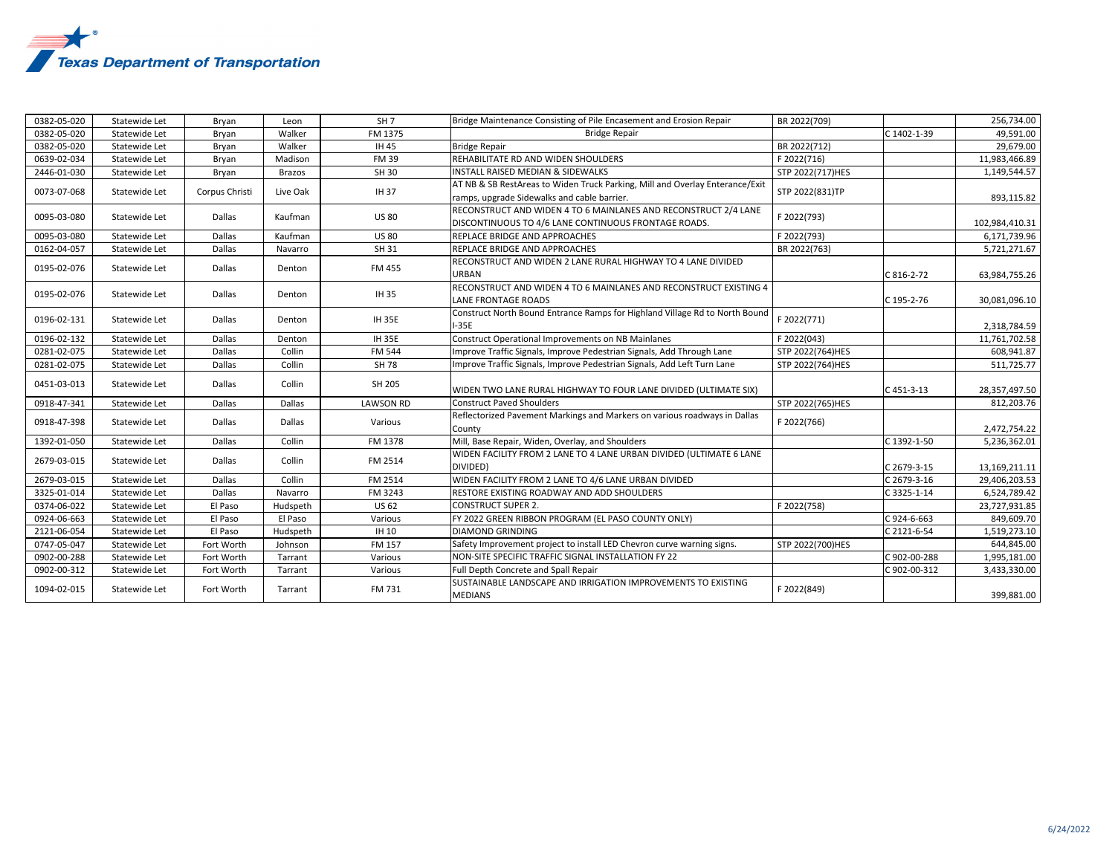

| 0382-05-020 | Statewide Let | Bryan          | Leon          | SH <sub>7</sub>  | Bridge Maintenance Consisting of Pile Encasement and Erosion Repair                                                         | BR 2022(709)     |              | 256,734.00     |
|-------------|---------------|----------------|---------------|------------------|-----------------------------------------------------------------------------------------------------------------------------|------------------|--------------|----------------|
| 0382-05-020 | Statewide Let | Bryan          | Walker        | FM 1375          | <b>Bridge Repair</b>                                                                                                        |                  | C 1402-1-39  | 49,591.00      |
| 0382-05-020 | Statewide Let | Bryan          | Walker        | IH 45            | <b>Bridge Repair</b>                                                                                                        | BR 2022(712)     |              | 29,679.00      |
| 0639-02-034 | Statewide Let | Bryan          | Madison       | <b>FM 39</b>     | REHABILITATE RD AND WIDEN SHOULDERS                                                                                         | F 2022(716)      |              | 11,983,466.89  |
| 2446-01-030 | Statewide Let | Bryan          | <b>Brazos</b> | SH 30            | STP 2022(717)HES<br><b>INSTALL RAISED MEDIAN &amp; SIDEWALKS</b>                                                            |                  |              | 1,149,544.57   |
| 0073-07-068 | Statewide Let | Corpus Christi | Live Oak      | IH 37            | AT NB & SB RestAreas to Widen Truck Parking, Mill and Overlay Enterance/Exit<br>ramps, upgrade Sidewalks and cable barrier. | STP 2022(831)TP  |              | 893,115.82     |
| 0095-03-080 | Statewide Let | Dallas         | Kaufman       | <b>US 80</b>     | RECONSTRUCT AND WIDEN 4 TO 6 MAINLANES AND RECONSTRUCT 2/4 LANE<br>DISCONTINUOUS TO 4/6 LANE CONTINUOUS FRONTAGE ROADS.     | F 2022(793)      |              | 102,984,410.31 |
| 0095-03-080 | Statewide Let | Dallas         | Kaufman       | <b>US 80</b>     | REPLACE BRIDGE AND APPROACHES                                                                                               | F 2022(793)      |              | 6,171,739.96   |
| 0162-04-057 | Statewide Let | Dallas         | Navarro       | SH 31            | REPLACE BRIDGE AND APPROACHES                                                                                               | BR 2022(763)     |              | 5,721,271.67   |
| 0195-02-076 | Statewide Let | Dallas         | Denton        | FM 455           | RECONSTRUCT AND WIDEN 2 LANE RURAL HIGHWAY TO 4 LANE DIVIDED<br><b>URBAN</b>                                                |                  | C 816-2-72   | 63,984,755.26  |
| 0195-02-076 | Statewide Let | Dallas         | Denton        | IH 35            | RECONSTRUCT AND WIDEN 4 TO 6 MAINLANES AND RECONSTRUCT EXISTING 4<br><b>LANE FRONTAGE ROADS</b>                             |                  | C 195-2-76   | 30,081,096.10  |
| 0196-02-131 | Statewide Let | Dallas         | Denton        | <b>IH 35E</b>    | Construct North Bound Entrance Ramps for Highland Village Rd to North Bound<br>$I-35E$                                      | F 2022(771)      |              | 2,318,784.59   |
| 0196-02-132 | Statewide Let | Dallas         | Denton        | <b>IH 35E</b>    | Construct Operational Improvements on NB Mainlanes                                                                          | F 2022(043)      |              | 11,761,702.58  |
| 0281-02-075 | Statewide Let | Dallas         | Collin        | FM 544           | Improve Traffic Signals, Improve Pedestrian Signals, Add Through Lane                                                       | STP 2022(764)HES |              | 608,941.87     |
| 0281-02-075 | Statewide Let | Dallas         | Collin        | SH 78            | Improve Traffic Signals, Improve Pedestrian Signals, Add Left Turn Lane                                                     | STP 2022(764)HES |              | 511,725.77     |
| 0451-03-013 | Statewide Let | Dallas         | Collin        | SH 205           | WIDEN TWO LANE RURAL HIGHWAY TO FOUR LANE DIVIDED (ULTIMATE SIX)                                                            |                  | C 451-3-13   | 28,357,497.50  |
| 0918-47-341 | Statewide Let | Dallas         | Dallas        | <b>LAWSON RD</b> | Construct Paved Shoulders                                                                                                   | STP 2022(765)HES |              | 812,203.76     |
| 0918-47-398 | Statewide Let | Dallas         | <b>Dallas</b> | Various          | Reflectorized Pavement Markings and Markers on various roadways in Dallas<br>County                                         | F 2022(766)      |              | 2,472,754.22   |
| 1392-01-050 | Statewide Let | Dallas         | Collin        | FM 1378          | Mill, Base Repair, Widen, Overlay, and Shoulders                                                                            |                  | C 1392-1-50  | 5,236,362.01   |
| 2679-03-015 | Statewide Let | Dallas         | Collin        | FM 2514          | WIDEN FACILITY FROM 2 LANE TO 4 LANE URBAN DIVIDED (ULTIMATE 6 LANE<br>DIVIDED)                                             |                  | C 2679-3-15  | 13,169,211.11  |
| 2679-03-015 | Statewide Let | Dallas         | Collin        | FM 2514          | WIDEN FACILITY FROM 2 LANE TO 4/6 LANE URBAN DIVIDED                                                                        |                  | C 2679-3-16  | 29,406,203.53  |
| 3325-01-014 | Statewide Let | Dallas         | Navarro       | FM 3243          | <b>RESTORE EXISTING ROADWAY AND ADD SHOULDERS</b>                                                                           |                  | C 3325-1-14  | 6,524,789.42   |
| 0374-06-022 | Statewide Let | El Paso        | Hudspeth      | <b>US 62</b>     | <b>CONSTRUCT SUPER 2.</b>                                                                                                   | F 2022(758)      |              | 23,727,931.85  |
| 0924-06-663 | Statewide Let | El Paso        | El Paso       | Various          | FY 2022 GREEN RIBBON PROGRAM (EL PASO COUNTY ONLY)                                                                          |                  | C924-6-663   | 849,609.70     |
| 2121-06-054 | Statewide Let | El Paso        | Hudspeth      | IH 10            | <b>DIAMOND GRINDING</b>                                                                                                     |                  | C 2121-6-54  | 1,519,273.10   |
| 0747-05-047 | Statewide Let | Fort Worth     | Johnson       | FM 157           | Safety Improvement project to install LED Chevron curve warning signs.                                                      | STP 2022(700)HES |              | 644,845.00     |
| 0902-00-288 | Statewide Let | Fort Worth     | Tarrant       | Various          | NON-SITE SPECIFIC TRAFFIC SIGNAL INSTALLATION FY 22                                                                         |                  | C 902-00-288 | 1,995,181.00   |
| 0902-00-312 | Statewide Let | Fort Worth     | Tarrant       | Various          | Full Depth Concrete and Spall Repair                                                                                        |                  | C 902-00-312 | 3,433,330.00   |
| 1094-02-015 | Statewide Let | Fort Worth     | Tarrant       | FM 731           | SUSTAINABLE LANDSCAPE AND IRRIGATION IMPROVEMENTS TO EXISTING<br><b>MEDIANS</b>                                             | F 2022(849)      |              | 399,881.00     |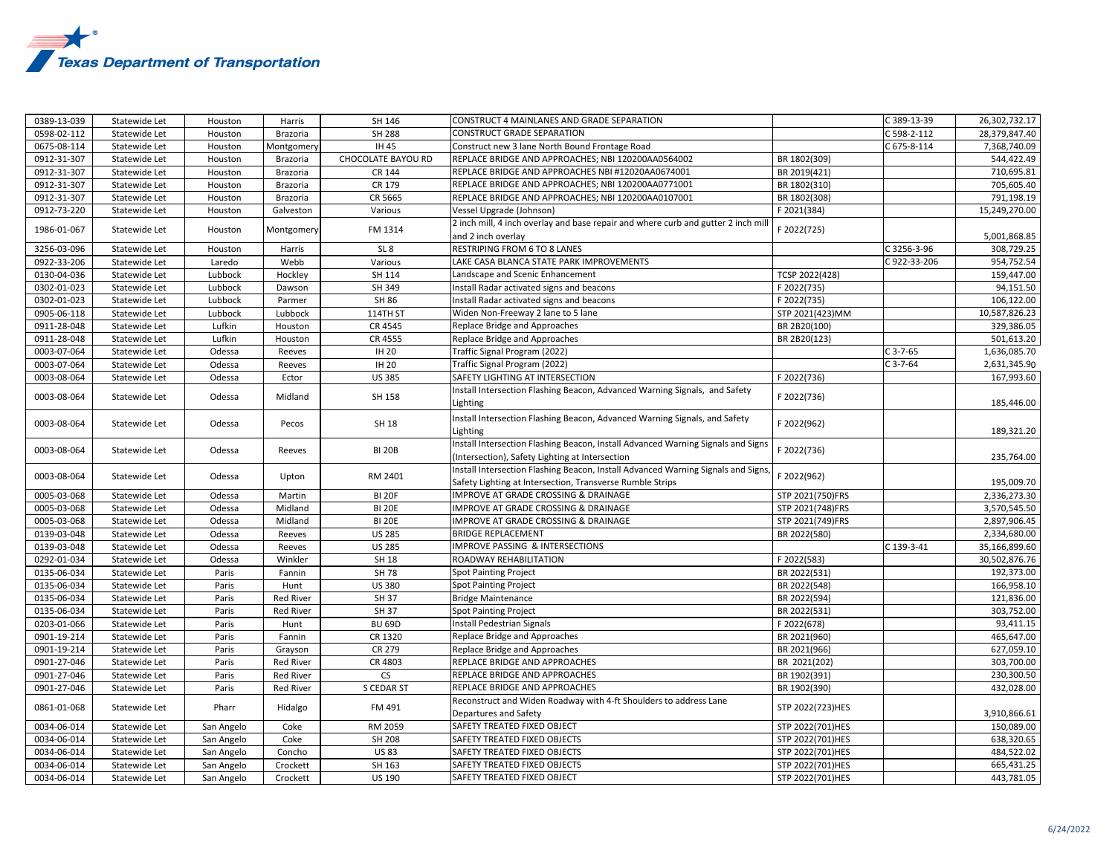

| 0389-13-039 | Statewide Let | Houston    | Harris           | SH 146             | CONSTRUCT 4 MAINLANES AND GRADE SEPARATION                                                                                                     |                  | C 389-13-39   | 26,302,732.17 |
|-------------|---------------|------------|------------------|--------------------|------------------------------------------------------------------------------------------------------------------------------------------------|------------------|---------------|---------------|
| 0598-02-112 | Statewide Let | Houston    | Brazoria         | <b>SH 288</b>      | CONSTRUCT GRADE SEPARATION                                                                                                                     |                  | C 598-2-112   | 28,379,847.40 |
| 0675-08-114 | Statewide Let | Houston    | Montgomery       | IH 45              | Construct new 3 lane North Bound Frontage Road                                                                                                 |                  | $C$ 675-8-114 | 7,368,740.09  |
| 0912-31-307 | Statewide Let | Houston    | <b>Brazoria</b>  | CHOCOLATE BAYOU RD | REPLACE BRIDGE AND APPROACHES; NBI 120200AA0564002                                                                                             | BR 1802(309)     |               | 544,422.49    |
| 0912-31-307 | Statewide Let | Houston    | <b>Brazoria</b>  | CR 144             | REPLACE BRIDGE AND APPROACHES NBI #12020AA0674001                                                                                              | BR 2019(421)     |               | 710,695.81    |
| 0912-31-307 | Statewide Let | Houston    | Brazoria         | CR 179             | REPLACE BRIDGE AND APPROACHES; NBI 120200AA0771001                                                                                             | BR 1802(310)     |               | 705,605.40    |
| 0912-31-307 | Statewide Let | Houston    | Brazoria         | CR 5665            | REPLACE BRIDGE AND APPROACHES; NBI 120200AA0107001                                                                                             | BR 1802(308)     |               | 791,198.19    |
| 0912-73-220 | Statewide Let | Houston    | Galveston        | Various            | Vessel Upgrade (Johnson)                                                                                                                       | F 2021(384)      |               | 15,249,270.00 |
| 1986-01-067 | Statewide Let | Houston    | Montgomery       | FM 1314            | 2 inch mill, 4 inch overlay and base repair and where curb and gutter 2 inch mill<br>and 2 inch overlay                                        | F 2022(725)      |               | 5,001,868.85  |
| 3256-03-096 | Statewide Let | Houston    | Harris           | SL <sub>8</sub>    | RESTRIPING FROM 6 TO 8 LANES                                                                                                                   |                  | C3256-3-96    | 308,729.25    |
| 0922-33-206 | Statewide Let | Laredo     | Webb             | Various            | LAKE CASA BLANCA STATE PARK IMPROVEMENTS                                                                                                       |                  | C922-33-206   | 954,752.54    |
| 0130-04-036 | Statewide Let | Lubbock    | Hockley          | SH 114             | Landscape and Scenic Enhancement                                                                                                               | TCSP 2022(428)   |               | 159,447.00    |
| 0302-01-023 | Statewide Let | Lubbock    | Dawson           | SH 349             | Install Radar activated signs and beacons                                                                                                      | F 2022(735)      |               | 94,151.50     |
| 0302-01-023 | Statewide Let | Lubbock    | Parmer           | SH 86              | Install Radar activated signs and beacons                                                                                                      | F 2022(735)      |               | 106,122.00    |
| 0905-06-118 | Statewide Let | Lubbock    | Lubbock          | 114TH ST           | Widen Non-Freeway 2 lane to 5 lane                                                                                                             | STP 2021(423)MM  |               | 10,587,826.23 |
| 0911-28-048 | Statewide Let | Lufkin     | Houston          | CR 4545            | Replace Bridge and Approaches                                                                                                                  | BR 2B20(100)     |               | 329,386.05    |
| 0911-28-048 | Statewide Let | Lufkin     | Houston          | CR 4555            | Replace Bridge and Approaches                                                                                                                  | BR 2B20(123)     |               | 501,613.20    |
| 0003-07-064 | Statewide Let | Odessa     | Reeves           | <b>IH 20</b>       | Traffic Signal Program (2022)                                                                                                                  |                  | $C$ 3-7-65    | 1,636,085.70  |
| 0003-07-064 | Statewide Let | Odessa     | Reeves           | IH 20              | Traffic Signal Program (2022)                                                                                                                  |                  | $C$ 3-7-64    | 2,631,345.90  |
| 0003-08-064 | Statewide Let | Odessa     | Ector            | <b>US 385</b>      | SAFETY LIGHTING AT INTERSECTION                                                                                                                | F 2022(736)      |               | 167,993.60    |
|             |               |            |                  |                    | Install Intersection Flashing Beacon, Advanced Warning Signals, and Safety                                                                     |                  |               |               |
| 0003-08-064 | Statewide Let | Odessa     | Midland          | SH 158             | Lighting                                                                                                                                       | F 2022(736)      |               | 185,446.00    |
| 0003-08-064 | Statewide Let | Odessa     | Pecos            | SH 18              | Install Intersection Flashing Beacon, Advanced Warning Signals, and Safety<br>Lighting                                                         | F 2022(962)      |               | 189,321.20    |
| 0003-08-064 | Statewide Let | Odessa     | Reeves           | <b>BI 20B</b>      | Install Intersection Flashing Beacon, Install Advanced Warning Signals and Signs<br>(Intersection), Safety Lighting at Intersection            | F 2022(736)      |               | 235,764.00    |
| 0003-08-064 | Statewide Let | Odessa     | Upton            | RM 2401            | Install Intersection Flashing Beacon, Install Advanced Warning Signals and Signs,<br>Safety Lighting at Intersection, Transverse Rumble Strips | F 2022(962)      |               | 195,009.70    |
| 0005-03-068 | Statewide Let | Odessa     | Martin           | <b>BI 20F</b>      | IMPROVE AT GRADE CROSSING & DRAINAGE                                                                                                           | STP 2021(750)FRS |               | 2,336,273.30  |
| 0005-03-068 | Statewide Let | Odessa     | Midland          | <b>BI 20E</b>      | IMPROVE AT GRADE CROSSING & DRAINAGE                                                                                                           | STP 2021(748)FRS |               | 3,570,545.50  |
| 0005-03-068 | Statewide Let | Odessa     | Midland          | <b>BI 20E</b>      | IMPROVE AT GRADE CROSSING & DRAINAGE                                                                                                           | STP 2021(749)FRS |               | 2,897,906.45  |
| 0139-03-048 | Statewide Let | Odessa     | Reeves           | <b>US 285</b>      | <b>BRIDGE REPLACEMENT</b>                                                                                                                      | BR 2022(580)     |               | 2,334,680.00  |
| 0139-03-048 | Statewide Let | Odessa     | Reeves           | <b>US 285</b>      | IMPROVE PASSING & INTERSECTIONS                                                                                                                |                  | C 139-3-41    | 35,166,899.60 |
| 0292-01-034 | Statewide Let | Odessa     | Winkler          | SH 18              | ROADWAY REHABILITATION                                                                                                                         | F 2022(583)      |               | 30,502,876.76 |
| 0135-06-034 | Statewide Let | Paris      | Fannin           | <b>SH 78</b>       | <b>Spot Painting Project</b>                                                                                                                   | BR 2022(531)     |               | 192,373.00    |
| 0135-06-034 | Statewide Let | Paris      | Hunt             | <b>US380</b>       | <b>Spot Painting Project</b>                                                                                                                   | BR 2022(548)     |               | 166,958.10    |
| 0135-06-034 | Statewide Let | Paris      | <b>Red River</b> | SH 37              | <b>Bridge Maintenance</b>                                                                                                                      | BR 2022(594)     |               | 121,836.00    |
| 0135-06-034 | Statewide Let | Paris      | Red River        | SH 37              | <b>Spot Painting Project</b>                                                                                                                   | BR 2022(531)     |               | 303,752.00    |
| 0203-01-066 | Statewide Let | Paris      | Hunt             | <b>BU 69D</b>      | Install Pedestrian Signals                                                                                                                     | F 2022(678)      |               | 93,411.15     |
| 0901-19-214 | Statewide Let | Paris      | Fannin           | CR 1320            | Replace Bridge and Approaches                                                                                                                  | BR 2021(960)     |               | 465,647.00    |
| 0901-19-214 | Statewide Let | Paris      | Grayson          | CR 279             | Replace Bridge and Approaches                                                                                                                  | BR 2021(966)     |               | 627,059.10    |
| 0901-27-046 | Statewide Let | Paris      | Red River        | CR 4803            | REPLACE BRIDGE AND APPROACHES                                                                                                                  | BR 2021(202)     |               | 303,700.00    |
| 0901-27-046 | Statewide Let | Paris      | <b>Red River</b> | <b>CS</b>          | REPLACE BRIDGE AND APPROACHES                                                                                                                  | BR 1902(391)     |               | 230,300.50    |
| 0901-27-046 | Statewide Let | Paris      | Red River        | S CEDAR ST         | REPLACE BRIDGE AND APPROACHES                                                                                                                  | BR 1902(390)     |               | 432,028.00    |
| 0861-01-068 | Statewide Let | Pharr      | Hidalgo          | FM 491             | Reconstruct and Widen Roadway with 4-ft Shoulders to address Lane<br>Departures and Safety                                                     | STP 2022(723)HES |               | 3,910,866.61  |
| 0034-06-014 | Statewide Let | San Angelo | Coke             | RM 2059            | SAFETY TREATED FIXED OBJECT                                                                                                                    | STP 2022(701)HES |               | 150,089.00    |
| 0034-06-014 | Statewide Let | San Angelo | Coke             | SH 208             | SAFETY TREATED FIXED OBJECTS                                                                                                                   | STP 2022(701)HES |               | 638,320.65    |
| 0034-06-014 | Statewide Let | San Angelo | Concho           | <b>US83</b>        | SAFETY TREATED FIXED OBJECTS                                                                                                                   | STP 2022(701)HES |               | 484,522.02    |
| 0034-06-014 | Statewide Let | San Angelo | Crockett         | SH 163             | SAFETY TREATED FIXED OBJECTS                                                                                                                   | STP 2022(701)HES |               | 665,431.25    |
| 0034-06-014 | Statewide Let | San Angelo | Crockett         | US 190             | SAFETY TREATED FIXED OBJECT                                                                                                                    | STP 2022(701)HES |               | 443,781.05    |
|             |               |            |                  |                    |                                                                                                                                                |                  |               |               |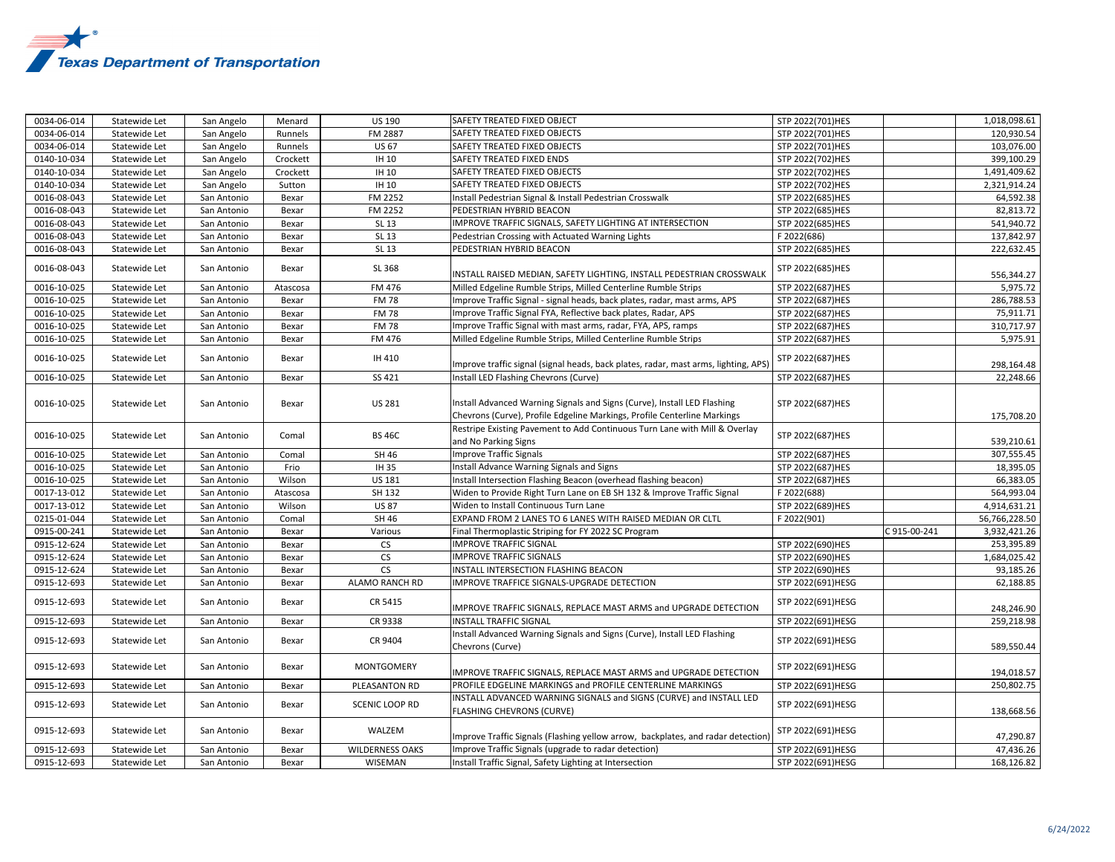

| 0034-06-014 | Statewide Let | San Angelo  | Menard   | <b>US 190</b>          | <b>SAFETY TREATED FIXED OBJECT</b>                                                                                                                   | STP 2022(701)HES  |             | 1,018,098.61  |
|-------------|---------------|-------------|----------|------------------------|------------------------------------------------------------------------------------------------------------------------------------------------------|-------------------|-------------|---------------|
| 0034-06-014 | Statewide Let | San Angelo  | Runnels  | FM 2887                | SAFETY TREATED FIXED OBJECTS                                                                                                                         | STP 2022(701)HES  |             | 120,930.54    |
| 0034-06-014 | Statewide Let | San Angelo  | Runnels  | <b>US 67</b>           | SAFETY TREATED FIXED OBJECTS                                                                                                                         | STP 2022(701)HES  |             | 103,076.00    |
| 0140-10-034 | Statewide Let | San Angelo  | Crockett | IH 10                  | SAFETY TREATED FIXED ENDS                                                                                                                            | STP 2022(702)HES  |             | 399,100.29    |
| 0140-10-034 | Statewide Let | San Angelo  | Crockett | IH 10                  | SAFETY TREATED FIXED OBJECTS                                                                                                                         | STP 2022(702)HES  |             | 1,491,409.62  |
| 0140-10-034 | Statewide Let | San Angelo  | Sutton   | IH 10                  | SAFETY TREATED FIXED OBJECTS                                                                                                                         | STP 2022(702)HES  |             | 2,321,914.24  |
| 0016-08-043 | Statewide Let | San Antonio | Bexar    | FM 2252                | Install Pedestrian Signal & Install Pedestrian Crosswalk                                                                                             | STP 2022(685)HES  |             | 64,592.38     |
| 0016-08-043 | Statewide Let | San Antonio | Bexar    | FM 2252                | PEDESTRIAN HYBRID BEACON                                                                                                                             | STP 2022(685)HES  |             | 82,813.72     |
| 0016-08-043 | Statewide Let | San Antonio | Bexar    | SL 13                  | IMPROVE TRAFFIC SIGNALS, SAFETY LIGHTING AT INTERSECTION                                                                                             | STP 2022(685)HES  |             | 541,940.72    |
| 0016-08-043 | Statewide Let | San Antonio | Bexar    | SL 13                  | Pedestrian Crossing with Actuated Warning Lights                                                                                                     | F 2022(686)       |             | 137,842.97    |
| 0016-08-043 | Statewide Let | San Antonio | Bexar    | SL 13                  | PEDESTRIAN HYBRID BEACON                                                                                                                             | STP 2022(685)HES  |             | 222,632.45    |
| 0016-08-043 | Statewide Let | San Antonio | Bexar    | SL 368                 | INSTALL RAISED MEDIAN, SAFETY LIGHTING, INSTALL PEDESTRIAN CROSSWALK                                                                                 | STP 2022(685)HES  |             | 556,344.27    |
| 0016-10-025 | Statewide Let | San Antonio | Atascosa | FM 476                 | Milled Edgeline Rumble Strips, Milled Centerline Rumble Strips                                                                                       | STP 2022(687)HES  |             | 5,975.72      |
| 0016-10-025 | Statewide Let | San Antonio | Bexar    | <b>FM78</b>            | mprove Traffic Signal - signal heads, back plates, radar, mast arms, APS                                                                             | STP 2022(687)HES  |             | 286,788.53    |
| 0016-10-025 | Statewide Let | San Antonio | Bexar    | <b>FM78</b>            | Improve Traffic Signal FYA, Reflective back plates, Radar, APS                                                                                       | STP 2022(687)HES  |             | 75,911.71     |
| 0016-10-025 | Statewide Let | San Antonio | Bexar    | <b>FM78</b>            | mprove Traffic Signal with mast arms, radar, FYA, APS, ramps                                                                                         | STP 2022(687)HES  |             | 310,717.97    |
| 0016-10-025 | Statewide Let | San Antonio | Bexar    | FM 476                 | Milled Edgeline Rumble Strips, Milled Centerline Rumble Strips                                                                                       | STP 2022(687)HES  |             | 5,975.91      |
| 0016-10-025 | Statewide Let | San Antonio | Bexar    | IH 410                 | Improve traffic signal (signal heads, back plates, radar, mast arms, lighting, APS)                                                                  | STP 2022(687)HES  |             | 298,164.48    |
| 0016-10-025 | Statewide Let | San Antonio | Bexar    | SS 421                 | Install LED Flashing Chevrons (Curve)                                                                                                                | STP 2022(687)HES  |             | 22,248.66     |
| 0016-10-025 | Statewide Let | San Antonio | Bexar    | <b>US 281</b>          | Install Advanced Warning Signals and Signs (Curve), Install LED Flashing<br>Chevrons (Curve), Profile Edgeline Markings, Profile Centerline Markings | STP 2022(687)HES  |             | 175,708.20    |
| 0016-10-025 | Statewide Let | San Antonio | Comal    | <b>BS 46C</b>          | Restripe Existing Pavement to Add Continuous Turn Lane with Mill & Overlay<br>and No Parking Signs                                                   | STP 2022(687)HES  |             | 539,210.61    |
| 0016-10-025 | Statewide Let | San Antonio | Comal    | SH 46                  | <b>Improve Traffic Signals</b>                                                                                                                       | STP 2022(687)HES  |             | 307,555.45    |
| 0016-10-025 | Statewide Let | San Antonio | Frio     | IH 35                  | Install Advance Warning Signals and Signs                                                                                                            | STP 2022(687)HES  |             | 18,395.05     |
| 0016-10-025 | Statewide Let | San Antonio | Wilson   | US 181                 | Install Intersection Flashing Beacon (overhead flashing beacon)                                                                                      | STP 2022(687)HES  |             | 66,383.05     |
| 0017-13-012 | Statewide Let | San Antonio | Atascosa | SH 132                 | Widen to Provide Right Turn Lane on EB SH 132 & Improve Traffic Signal                                                                               | F 2022(688)       |             | 564,993.04    |
| 0017-13-012 | Statewide Let | San Antonio | Wilson   | <b>US 87</b>           | Widen to Install Continuous Turn Lane                                                                                                                | STP 2022(689)HES  |             | 4,914,631.21  |
| 0215-01-044 | Statewide Let | San Antonio | Comal    | SH 46                  | EXPAND FROM 2 LANES TO 6 LANES WITH RAISED MEDIAN OR CLTL                                                                                            | F 2022(901)       |             | 56,766,228.50 |
| 0915-00-241 | Statewide Let | San Antonio | Bexar    | Various                | Final Thermoplastic Striping for FY 2022 SC Program                                                                                                  |                   | 3915-00-241 | 3,932,421.26  |
| 0915-12-624 | Statewide Let | San Antonio | Bexar    | ${\sf CS}$             | <b>IMPROVE TRAFFIC SIGNAL</b>                                                                                                                        | STP 2022(690)HES  |             | 253,395.89    |
| 0915-12-624 | Statewide Let | San Antonio | Bexar    | <b>CS</b>              | <b>IMPROVE TRAFFIC SIGNALS</b>                                                                                                                       | STP 2022(690)HES  |             | 1,684,025.42  |
| 0915-12-624 | Statewide Let | San Antonio | Bexar    | <b>CS</b>              | INSTALL INTERSECTION FLASHING BEACON                                                                                                                 | STP 2022(690)HES  |             | 93,185.26     |
| 0915-12-693 | Statewide Let | San Antonio | Bexar    | ALAMO RANCH RD         | <b>IMPROVE TRAFFICE SIGNALS-UPGRADE DETECTION</b>                                                                                                    | STP 2022(691)HESG |             | 62,188.85     |
| 0915-12-693 | Statewide Let | San Antonio | Bexar    | CR 5415                | MPROVE TRAFFIC SIGNALS, REPLACE MAST ARMS and UPGRADE DETECTION                                                                                      | STP 2022(691)HESG |             | 248,246.90    |
| 0915-12-693 | Statewide Let | San Antonio | Bexar    | CR 9338                | <b>INSTALL TRAFFIC SIGNAL</b>                                                                                                                        | STP 2022(691)HESG |             | 259,218.98    |
| 0915-12-693 | Statewide Let | San Antonio | Bexar    | CR 9404                | nstall Advanced Warning Signals and Signs (Curve), Install LED Flashing<br>Chevrons (Curve)                                                          | STP 2022(691)HESG |             | 589,550.44    |
| 0915-12-693 | Statewide Let | San Antonio | Bexar    | MONTGOMERY             | IMPROVE TRAFFIC SIGNALS, REPLACE MAST ARMS and UPGRADE DETECTION                                                                                     | STP 2022(691)HESG |             | 194,018.57    |
| 0915-12-693 | Statewide Let | San Antonio | Bexar    | PLEASANTON RD          | PROFILE EDGELINE MARKINGS and PROFILE CENTERLINE MARKINGS                                                                                            | STP 2022(691)HESG |             | 250,802.75    |
| 0915-12-693 | Statewide Let | San Antonio | Bexar    | <b>SCENIC LOOP RD</b>  | INSTALL ADVANCED WARNING SIGNALS and SIGNS (CURVE) and INSTALL LED<br><b>FLASHING CHEVRONS (CURVE)</b>                                               | STP 2022(691)HESG |             | 138,668.56    |
| 0915-12-693 | Statewide Let | San Antonio | Bexar    | WALZEM                 | Improve Traffic Signals (Flashing yellow arrow, backplates, and radar detection)                                                                     | STP 2022(691)HESG |             | 47,290.87     |
| 0915-12-693 | Statewide Let | San Antonio | Bexar    | <b>WILDERNESS OAKS</b> | Improve Traffic Signals (upgrade to radar detection)                                                                                                 | STP 2022(691)HESG |             | 47,436.26     |
| 0915-12-693 | Statewide Let | San Antonio | Bexar    | WISEMAN                | Install Traffic Signal, Safety Lighting at Intersection                                                                                              | STP 2022(691)HESG |             | 168,126.82    |
|             |               |             |          |                        |                                                                                                                                                      |                   |             |               |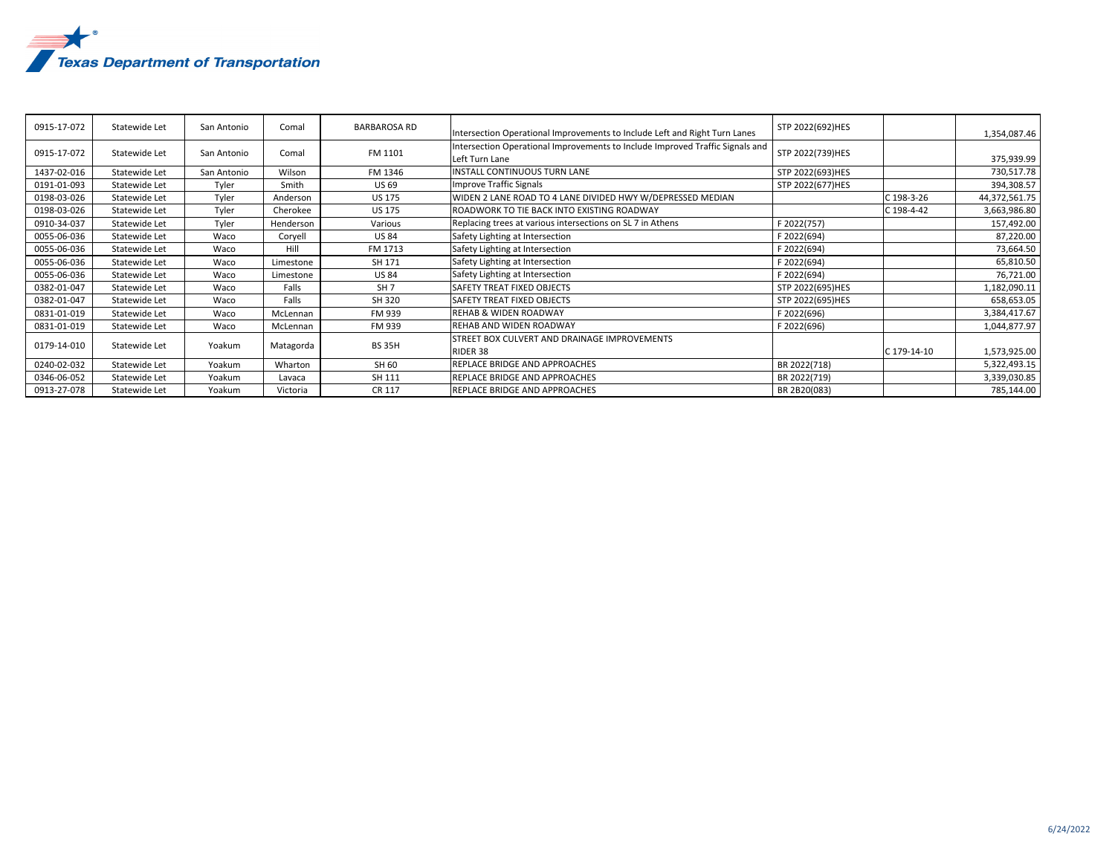

| 0915-17-072 | Statewide Let | San Antonio | Comal     | <b>BARBAROSA RD</b><br>Intersection Operational Improvements to Include Left and Right Turn Lanes |                                                                                                 | STP 2022(692)HES |             | 1,354,087.46  |
|-------------|---------------|-------------|-----------|---------------------------------------------------------------------------------------------------|-------------------------------------------------------------------------------------------------|------------------|-------------|---------------|
| 0915-17-072 | Statewide Let | San Antonio | Comal     | FM 1101                                                                                           | Intersection Operational Improvements to Include Improved Traffic Signals and<br>Left Turn Lane | STP 2022(739)HES |             | 375,939.99    |
| 1437-02-016 | Statewide Let | San Antonio | Wilson    | FM 1346                                                                                           | INSTALL CONTINUOUS TURN LANE                                                                    | STP 2022(693)HES |             | 730,517.78    |
| 0191-01-093 | Statewide Let | Tyler       | Smith     | <b>US 69</b>                                                                                      | Improve Traffic Signals                                                                         | STP 2022(677)HES |             | 394,308.57    |
| 0198-03-026 | Statewide Let | Tyler       | Anderson  | <b>US 175</b>                                                                                     | WIDEN 2 LANE ROAD TO 4 LANE DIVIDED HWY W/DEPRESSED MEDIAN                                      |                  | C 198-3-26  | 44,372,561.75 |
| 0198-03-026 | Statewide Let | Tyler       | Cherokee  | <b>US 175</b>                                                                                     | ROADWORK TO TIE BACK INTO EXISTING ROADWAY                                                      |                  | C 198-4-42  | 3,663,986.80  |
| 0910-34-037 | Statewide Let | Tyler       | Henderson | Various                                                                                           | Replacing trees at various intersections on SL 7 in Athens                                      | F 2022(757)      |             | 157,492.00    |
| 0055-06-036 | Statewide Let | Waco        | Corvell   | <b>US 84</b>                                                                                      | Safety Lighting at Intersection                                                                 | F 2022(694)      |             | 87,220.00     |
| 0055-06-036 | Statewide Let | Waco        | Hill      | FM 1713                                                                                           | Safety Lighting at Intersection                                                                 | F 2022(694)      |             | 73,664.50     |
| 0055-06-036 | Statewide Let | Waco        | Limestone | SH 171                                                                                            | Safety Lighting at Intersection                                                                 | F 2022(694)      |             | 65,810.50     |
| 0055-06-036 | Statewide Let | Waco        | Limestone | <b>US 84</b>                                                                                      | Safety Lighting at Intersection                                                                 | F 2022(694)      |             | 76,721.00     |
| 0382-01-047 | Statewide Let | Waco        | Falls     | SH <sub>7</sub>                                                                                   | SAFETY TREAT FIXED OBJECTS                                                                      | STP 2022(695)HES |             | 1,182,090.11  |
| 0382-01-047 | Statewide Let | Waco        | Falls     | SH 320                                                                                            | SAFETY TREAT FIXED OBJECTS                                                                      | STP 2022(695)HES |             | 658,653.05    |
| 0831-01-019 | Statewide Let | Waco        | McLennan  | FM 939                                                                                            | <b>REHAB &amp; WIDEN ROADWAY</b>                                                                | F 2022(696)      |             | 3,384,417.67  |
| 0831-01-019 | Statewide Let | Waco        | McLennan  | FM 939                                                                                            | <b>REHAB AND WIDEN ROADWAY</b>                                                                  | F 2022(696)      |             | 1,044,877.97  |
| 0179-14-010 | Statewide Let | Yoakum      | Matagorda | <b>BS 35H</b>                                                                                     | STREET BOX CULVERT AND DRAINAGE IMPROVEMENTS<br>RIDER 38                                        |                  | C 179-14-10 | 1,573,925.00  |
| 0240-02-032 | Statewide Let | Yoakum      | Wharton   | SH 60                                                                                             | REPLACE BRIDGE AND APPROACHES                                                                   | BR 2022(718)     |             | 5,322,493.15  |
| 0346-06-052 | Statewide Let | Yoakum      | Lavaca    | SH 111                                                                                            | REPLACE BRIDGE AND APPROACHES                                                                   | BR 2022(719)     |             | 3,339,030.85  |
| 0913-27-078 | Statewide Let | Yoakum      | Victoria  | <b>CR 117</b>                                                                                     | REPLACE BRIDGE AND APPROACHES                                                                   | BR 2B20(083)     |             | 785,144.00    |